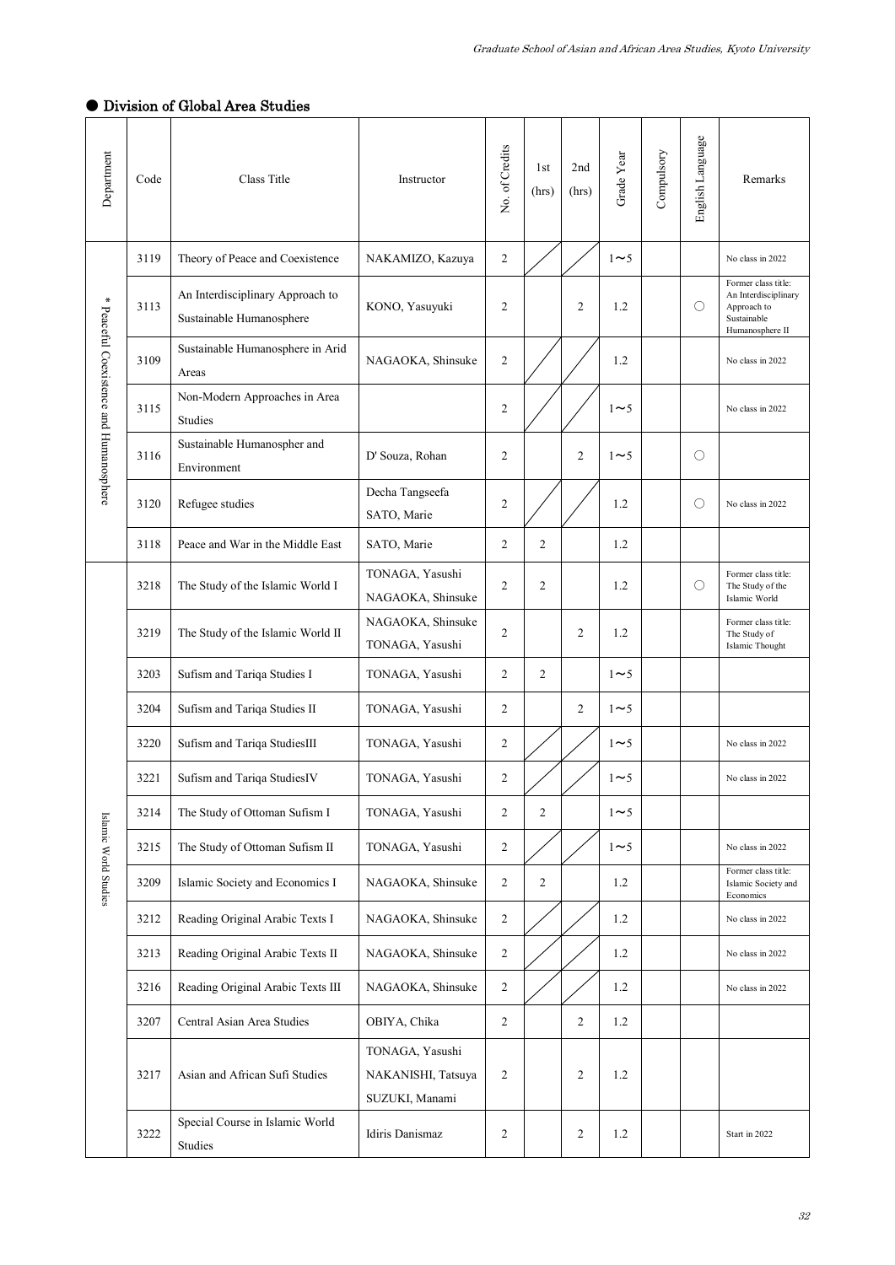## ● Division of Global Area Studies

| Department                              | Code | Class Title                                                  | Instructor                                              | No. of Credits | 1st<br>(hrs)   | 2nd<br>(hrs)   | Grade Year | Compulsory | English Language | Remarks                                                                                      |
|-----------------------------------------|------|--------------------------------------------------------------|---------------------------------------------------------|----------------|----------------|----------------|------------|------------|------------------|----------------------------------------------------------------------------------------------|
| * Peaceful Coexistence and Humanosphere | 3119 | Theory of Peace and Coexistence                              | NAKAMIZO, Kazuya                                        | $\overline{c}$ |                |                | $1\sim5$   |            |                  | No class in 2022                                                                             |
|                                         | 3113 | An Interdisciplinary Approach to<br>Sustainable Humanosphere | KONO, Yasuyuki                                          | $\mathfrak{2}$ |                | $\overline{c}$ | 1.2        |            | О                | Former class title:<br>An Interdisciplinary<br>Approach to<br>Sustainable<br>Humanosphere II |
|                                         | 3109 | Sustainable Humanosphere in Arid<br>Areas                    | NAGAOKA, Shinsuke                                       | $\mathfrak{2}$ |                |                | 1.2        |            |                  | No class in 2022                                                                             |
|                                         | 3115 | Non-Modern Approaches in Area<br>Studies                     |                                                         | 2              |                |                | $1\sim5$   |            |                  | No class in 2022                                                                             |
|                                         | 3116 | Sustainable Humanospher and<br>Environment                   | D' Souza, Rohan                                         | 2              |                | 2              | $1\sim5$   |            | О                |                                                                                              |
|                                         | 3120 | Refugee studies                                              | Decha Tangseefa<br>SATO, Marie                          | 2              |                |                | 1.2        |            | О                | No class in 2022                                                                             |
|                                         | 3118 | Peace and War in the Middle East                             | SATO, Marie                                             | $\overline{2}$ | $\overline{c}$ |                | 1.2        |            |                  |                                                                                              |
|                                         | 3218 | The Study of the Islamic World I                             | TONAGA, Yasushi<br>NAGAOKA, Shinsuke                    | $\mathfrak{2}$ | $\overline{2}$ |                | 1.2        |            | О                | Former class title:<br>The Study of the<br>Islamic World                                     |
|                                         | 3219 | The Study of the Islamic World II                            | NAGAOKA, Shinsuke<br>TONAGA, Yasushi                    | $\mathfrak{2}$ |                | 2              | 1.2        |            |                  | Former class title:<br>The Study of<br>Islamic Thought                                       |
|                                         | 3203 | Sufism and Tariqa Studies I                                  | TONAGA, Yasushi                                         | 2              | 2              |                | $1\sim5$   |            |                  |                                                                                              |
|                                         | 3204 | Sufism and Tariqa Studies II                                 | TONAGA, Yasushi                                         | 2              |                | 2              | $1\sim5$   |            |                  |                                                                                              |
|                                         | 3220 | Sufism and Tariqa StudiesIII                                 | TONAGA, Yasushi                                         | $\overline{c}$ |                |                | $1\sim5$   |            |                  | No class in 2022                                                                             |
|                                         | 3221 | Sufism and Tariqa StudiesIV                                  | TONAGA, Yasushi                                         | 2              |                |                | $1\sim$ 5  |            |                  | No class in 2022                                                                             |
|                                         | 3214 | The Study of Ottoman Sufism I                                | TONAGA, Yasushi                                         | $\overline{2}$ | 2              |                | $1\sim$ 5  |            |                  |                                                                                              |
|                                         | 3215 | The Study of Ottoman Sufism II                               | TONAGA, Yasushi                                         | $\overline{c}$ |                |                | $1\sim5$   |            |                  | No class in 2022                                                                             |
| Islamic World Studies                   | 3209 | Islamic Society and Economics I                              | NAGAOKA, Shinsuke                                       | $\overline{c}$ | $\overline{2}$ |                | 1.2        |            |                  | Former class title:<br>Islamic Society and<br>Economics                                      |
|                                         | 3212 | Reading Original Arabic Texts I                              | NAGAOKA, Shinsuke                                       | $\overline{c}$ |                |                | 1.2        |            |                  | No class in 2022                                                                             |
|                                         | 3213 | Reading Original Arabic Texts II                             | NAGAOKA, Shinsuke                                       | 2              |                |                | 1.2        |            |                  | No class in 2022                                                                             |
|                                         | 3216 | Reading Original Arabic Texts III                            | NAGAOKA, Shinsuke                                       | $\overline{2}$ |                |                | 1.2        |            |                  | No class in 2022                                                                             |
|                                         | 3207 | Central Asian Area Studies                                   | OBIYA, Chika                                            | $\overline{c}$ |                | 2              | 1.2        |            |                  |                                                                                              |
|                                         | 3217 | Asian and African Sufi Studies                               | TONAGA, Yasushi<br>NAKANISHI, Tatsuya<br>SUZUKI, Manami | $\overline{c}$ |                | 2              | 1.2        |            |                  |                                                                                              |
|                                         | 3222 | Special Course in Islamic World<br>Studies                   | Idiris Danismaz                                         | 2              |                | 2              | 1.2        |            |                  | Start in 2022                                                                                |